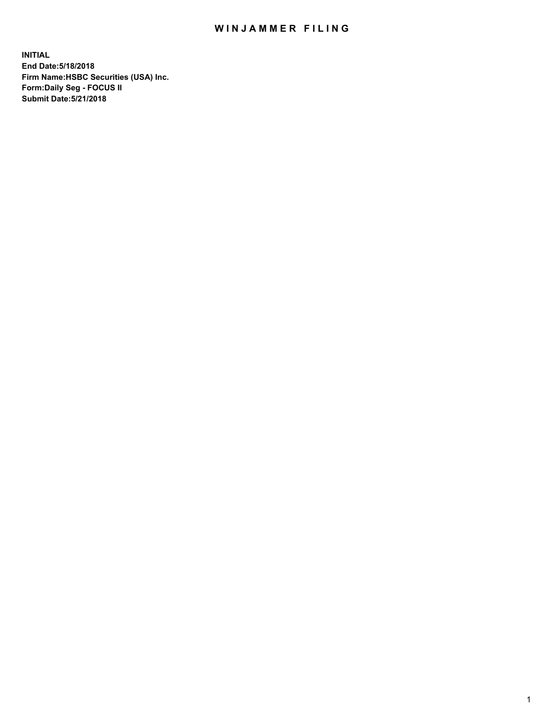## WIN JAMMER FILING

**INITIAL End Date:5/18/2018 Firm Name:HSBC Securities (USA) Inc. Form:Daily Seg - FOCUS II Submit Date:5/21/2018**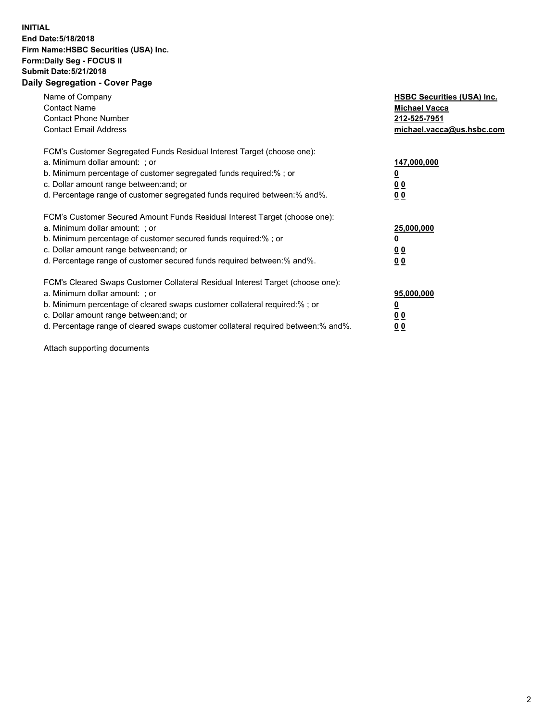## **INITIAL End Date:5/18/2018 Firm Name:HSBC Securities (USA) Inc. Form:Daily Seg - FOCUS II Submit Date:5/21/2018 Daily Segregation - Cover Page**

| Name of Company<br><b>Contact Name</b><br><b>Contact Phone Number</b><br><b>Contact Email Address</b>                                                                                                                                                                                                                         | <b>HSBC Securities (USA) Inc.</b><br><b>Michael Vacca</b><br>212-525-7951<br>michael.vacca@us.hsbc.com |
|-------------------------------------------------------------------------------------------------------------------------------------------------------------------------------------------------------------------------------------------------------------------------------------------------------------------------------|--------------------------------------------------------------------------------------------------------|
| FCM's Customer Segregated Funds Residual Interest Target (choose one):<br>a. Minimum dollar amount: ; or<br>b. Minimum percentage of customer segregated funds required:%; or<br>c. Dollar amount range between: and; or<br>d. Percentage range of customer segregated funds required between: % and %.                       | 147,000,000<br><u>0</u><br><u>00</u><br>00                                                             |
| FCM's Customer Secured Amount Funds Residual Interest Target (choose one):<br>a. Minimum dollar amount: ; or<br>b. Minimum percentage of customer secured funds required:%; or<br>c. Dollar amount range between: and; or<br>d. Percentage range of customer secured funds required between: % and %.                         | 25,000,000<br><u>0</u><br><u>00</u><br>00                                                              |
| FCM's Cleared Swaps Customer Collateral Residual Interest Target (choose one):<br>a. Minimum dollar amount: ; or<br>b. Minimum percentage of cleared swaps customer collateral required:%; or<br>c. Dollar amount range between: and; or<br>d. Percentage range of cleared swaps customer collateral required between:% and%. | 95,000,000<br><u>0</u><br><u>00</u><br><u>00</u>                                                       |

Attach supporting documents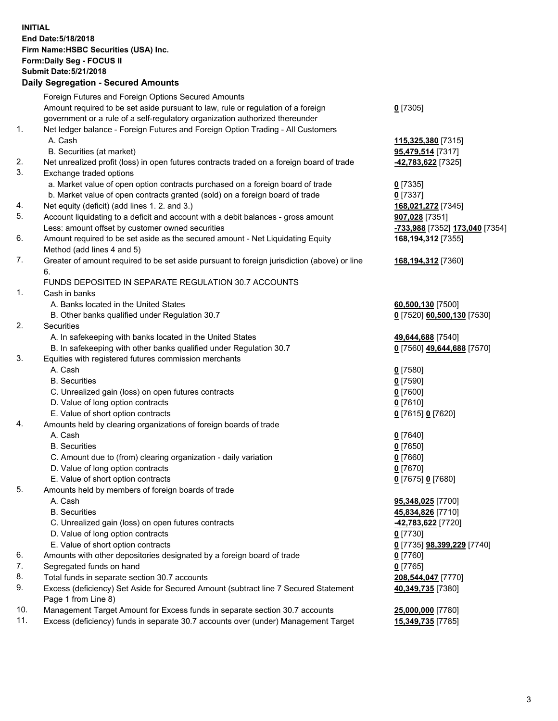**INITIAL End Date:5/18/2018 Firm Name:HSBC Securities (USA) Inc. Form:Daily Seg - FOCUS II Submit Date:5/21/2018 Daily Segregation - Secured Amounts** Foreign Futures and Foreign Options Secured Amounts<br>Account required to be not said account to law and account time of a family

|     | Amount required to be set aside pursuant to law, rule or regulation of a foreign                             | $0$ [7305]                        |
|-----|--------------------------------------------------------------------------------------------------------------|-----------------------------------|
|     | government or a rule of a self-regulatory organization authorized thereunder                                 |                                   |
| 1.  | Net ledger balance - Foreign Futures and Foreign Option Trading - All Customers                              |                                   |
|     | A. Cash                                                                                                      | 115,325,380 [7315]                |
|     | B. Securities (at market)                                                                                    | 95,479,514 [7317]                 |
| 2.  | Net unrealized profit (loss) in open futures contracts traded on a foreign board of trade                    | -42,783,622 [7325]                |
| 3.  | Exchange traded options                                                                                      |                                   |
|     | a. Market value of open option contracts purchased on a foreign board of trade                               | $0$ [7335]                        |
|     | b. Market value of open contracts granted (sold) on a foreign board of trade                                 | $0$ [7337]                        |
| 4.  | Net equity (deficit) (add lines 1.2. and 3.)                                                                 | 168,021,272 [7345]                |
| 5.  | Account liquidating to a deficit and account with a debit balances - gross amount                            | 907,028 [7351]                    |
| 6.  | Less: amount offset by customer owned securities                                                             | -733,988 [7352] 173,040 [7354]    |
|     | Amount required to be set aside as the secured amount - Net Liquidating Equity<br>Method (add lines 4 and 5) | 168,194,312 [7355]                |
| 7.  | Greater of amount required to be set aside pursuant to foreign jurisdiction (above) or line                  | 168,194,312 [7360]                |
|     | 6.                                                                                                           |                                   |
|     | FUNDS DEPOSITED IN SEPARATE REGULATION 30.7 ACCOUNTS                                                         |                                   |
| 1.  | Cash in banks                                                                                                |                                   |
|     | A. Banks located in the United States                                                                        | 60,500,130 [7500]                 |
|     | B. Other banks qualified under Regulation 30.7                                                               | 0 [7520] 60,500,130 [7530]        |
| 2.  | Securities                                                                                                   |                                   |
|     | A. In safekeeping with banks located in the United States                                                    | 49,644,688 [7540]                 |
|     | B. In safekeeping with other banks qualified under Regulation 30.7                                           | 0 [7560] 49,644,688 [7570]        |
| 3.  | Equities with registered futures commission merchants                                                        |                                   |
|     | A. Cash                                                                                                      | $0$ [7580]                        |
|     | <b>B.</b> Securities                                                                                         | $0$ [7590]                        |
|     | C. Unrealized gain (loss) on open futures contracts                                                          | $0$ [7600]                        |
|     | D. Value of long option contracts                                                                            | $0$ [7610]                        |
|     | E. Value of short option contracts                                                                           | 0 [7615] 0 [7620]                 |
| 4.  | Amounts held by clearing organizations of foreign boards of trade                                            |                                   |
|     | A. Cash                                                                                                      | $0$ [7640]                        |
|     | <b>B.</b> Securities                                                                                         | $0$ [7650]                        |
|     | C. Amount due to (from) clearing organization - daily variation                                              | $0$ [7660]                        |
|     | D. Value of long option contracts                                                                            | $0$ [7670]                        |
|     | E. Value of short option contracts                                                                           | 0 [7675] 0 [7680]                 |
| 5.  | Amounts held by members of foreign boards of trade                                                           |                                   |
|     | A. Cash                                                                                                      | 95,348,025 [7700]                 |
|     | <b>B.</b> Securities                                                                                         | 45,834,826 [7710]                 |
|     | C. Unrealized gain (loss) on open futures contracts                                                          | <u>-42,783,622</u> [7720]         |
|     | D. Value of long option contracts                                                                            | $0$ [7730]                        |
|     | E. Value of short option contracts                                                                           | 0 [7735] <b>98,399,229</b> [7740] |
| 6.  | Amounts with other depositories designated by a foreign board of trade                                       | $0$ [7760]                        |
| 7.  | Segregated funds on hand                                                                                     | $0$ [7765]                        |
| 8.  | Total funds in separate section 30.7 accounts                                                                | 208,544,047 [7770]                |
| 9.  | Excess (deficiency) Set Aside for Secured Amount (subtract line 7 Secured Statement                          | 40,349,735 [7380]                 |
|     | Page 1 from Line 8)                                                                                          |                                   |
| 10. | Management Target Amount for Excess funds in separate section 30.7 accounts                                  | 25,000,000 [7780]                 |
| 11. | Excess (deficiency) funds in separate 30.7 accounts over (under) Management Target                           | 15,349,735 [7785]                 |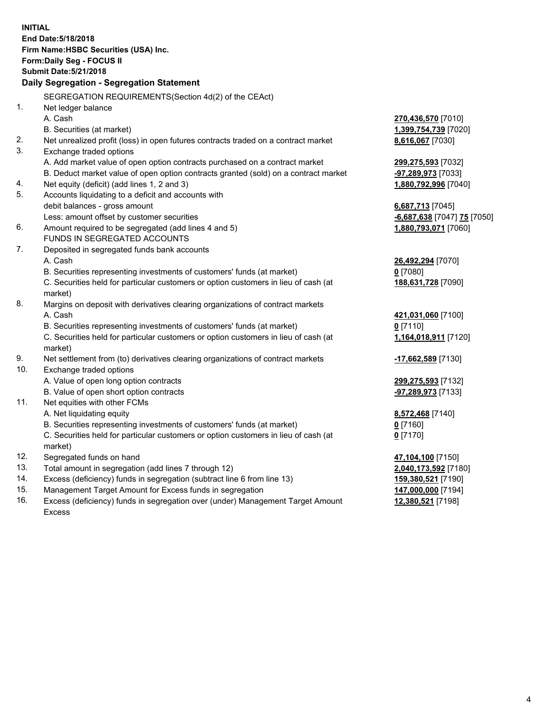**INITIAL End Date:5/18/2018 Firm Name:HSBC Securities (USA) Inc. Form:Daily Seg - FOCUS II Submit Date:5/21/2018 Daily Segregation - Segregation Statement** SEGREGATION REQUIREMENTS(Section 4d(2) of the CEAct) 1. Net ledger balance A. Cash **270,436,570** [7010] B. Securities (at market) **1,399,754,739** [7020] 2. Net unrealized profit (loss) in open futures contracts traded on a contract market **8,616,067** [7030] 3. Exchange traded options A. Add market value of open option contracts purchased on a contract market **299,275,593** [7032] B. Deduct market value of open option contracts granted (sold) on a contract market **-97,289,973** [7033] 4. Net equity (deficit) (add lines 1, 2 and 3) **1,880,792,996** [7040] 5. Accounts liquidating to a deficit and accounts with debit balances - gross amount **6,687,713** [7045] Less: amount offset by customer securities **-6,687,638** [7047] **75** [7050] 6. Amount required to be segregated (add lines 4 and 5) **1,880,793,071** [7060] FUNDS IN SEGREGATED ACCOUNTS 7. Deposited in segregated funds bank accounts A. Cash **26,492,294** [7070] B. Securities representing investments of customers' funds (at market) **0** [7080] C. Securities held for particular customers or option customers in lieu of cash (at market) **188,631,728** [7090] 8. Margins on deposit with derivatives clearing organizations of contract markets A. Cash **421,031,060** [7100] B. Securities representing investments of customers' funds (at market) **0** [7110] C. Securities held for particular customers or option customers in lieu of cash (at market) **1,164,018,911** [7120] 9. Net settlement from (to) derivatives clearing organizations of contract markets **-17,662,589** [7130] 10. Exchange traded options A. Value of open long option contracts **299,275,593** [7132] B. Value of open short option contracts **-97,289,973** [7133] 11. Net equities with other FCMs A. Net liquidating equity **8,572,468** [7140] B. Securities representing investments of customers' funds (at market) **0** [7160] C. Securities held for particular customers or option customers in lieu of cash (at market) **0** [7170] 12. Segregated funds on hand **47,104,100** [7150] 13. Total amount in segregation (add lines 7 through 12) **2,040,173,592** [7180] 14. Excess (deficiency) funds in segregation (subtract line 6 from line 13) **159,380,521** [7190]

- 15. Management Target Amount for Excess funds in segregation **147,000,000** [7194]
- 16. Excess (deficiency) funds in segregation over (under) Management Target Amount Excess

**12,380,521** [7198]